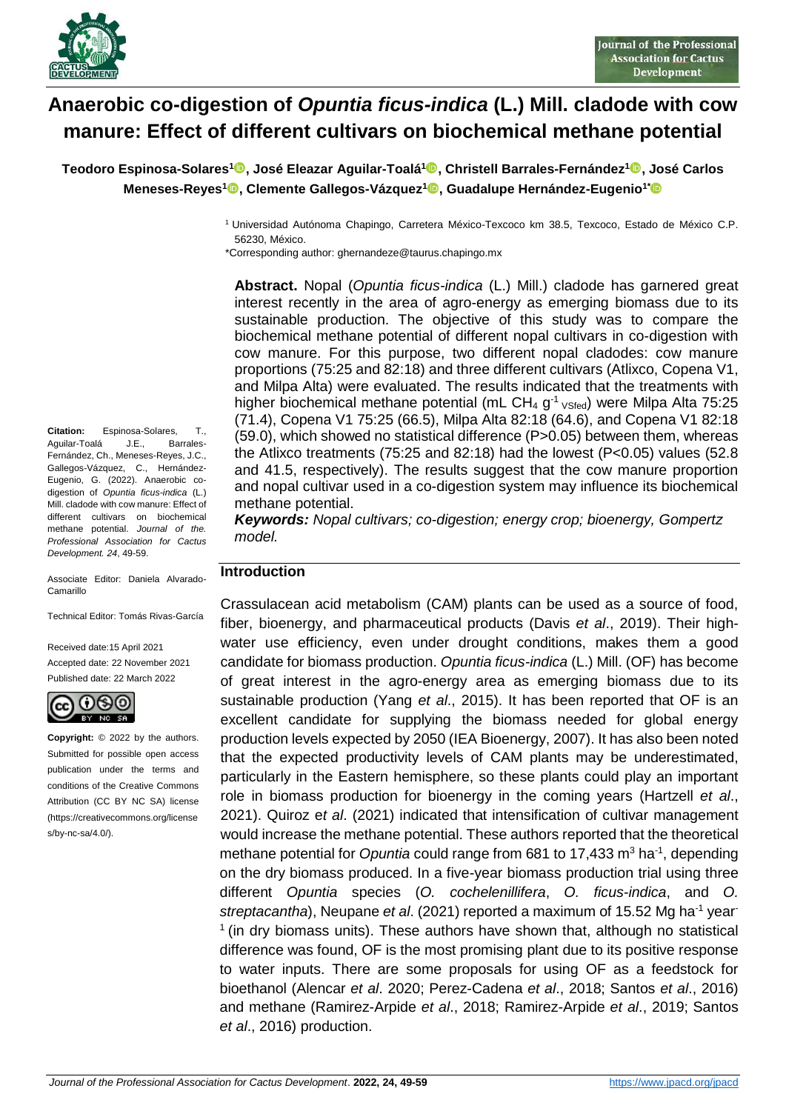

# **Anaerobic co-digestion of** *Opuntia ficus-indica* **(L.) Mill. cladode with cow manure: Effect of different cultivars on biochemical methane potential**

**Teodoro Espinosa-Solares[1](https://orcid.org/0000-0002-7581-0249) , José Eleazar Aguilar-Toalá<sup>1</sup> , Christell Barrales-Fernández[1](https://orcid.org/0000-0002-9909-7572) , José Carlos Meneses-Reyes[1](https://orcid.org/0000-0003-2431-4832) , Clemente Gallegos-Vázquez<sup>1</sup> , Guadalupe Hernández-Eugenio1\***

\*Corresponding author: ghernandeze@taurus.chapingo.mx

**Abstract.** Nopal (*Opuntia ficus-indica* (L.) Mill.) cladode has garnered great interest recently in the area of agro-energy as emerging biomass due to its sustainable production. The objective of this study was to compare the biochemical methane potential of different nopal cultivars in co-digestion with cow manure. For this purpose, two different nopal cladodes: cow manure proportions (75:25 and 82:18) and three different cultivars (Atlixco, Copena V1, and Milpa Alta) were evaluated. The results indicated that the treatments with higher biochemical methane potential (mL CH<sub>4</sub> g<sup>-1</sup>  $v$ <sub>Sfed</sub>) were Milpa Alta 75:25 (71.4), Copena V1 75:25 (66.5), Milpa Alta 82:18 (64.6), and Copena V1 82:18 (59.0), which showed no statistical difference (P>0.05) between them, whereas the Atlixco treatments (75:25 and 82:18) had the lowest (P<0.05) values (52.8 and 41.5, respectively). The results suggest that the cow manure proportion and nopal cultivar used in a co-digestion system may influence its biochemical methane potential.

*Keywords: Nopal cultivars; co-digestion; energy crop; bioenergy, Gompertz model.*

#### **Introduction**

Crassulacean acid metabolism (CAM) plants can be used as a source of food, fiber, bioenergy, and pharmaceutical products (Davis *et al*., 2019). Their highwater use efficiency, even under drought conditions, makes them a good candidate for biomass production. *Opuntia ficus-indica* (L.) Mill. (OF) has become of great interest in the agro-energy area as emerging biomass due to its sustainable production (Yang *et al*., 2015). It has been reported that OF is an excellent candidate for supplying the biomass needed for global energy production levels expected by 2050 (IEA Bioenergy, 2007). It has also been noted that the expected productivity levels of CAM plants may be underestimated, particularly in the Eastern hemisphere, so these plants could play an important role in biomass production for bioenergy in the coming years (Hartzell *et al*., 2021). Quiroz e*t al*. (2021) indicated that intensification of cultivar management would increase the methane potential. These authors reported that the theoretical methane potential for *Opuntia* could range from 681 to 17,433 m<sup>3</sup> ha<sup>-1</sup>, depending on the dry biomass produced. In a five-year biomass production trial using three different *Opuntia* species (*O. cochelenillifera*, *O. ficus-indica*, and *O. streptacantha*), Neupane *et al*. (2021) reported a maximum of 15.52 Mg ha-1 year- $<sup>1</sup>$  (in dry biomass units). These authors have shown that, although no statistical</sup> difference was found, OF is the most promising plant due to its positive response to water inputs. There are some proposals for using OF as a feedstock for bioethanol (Alencar *et al*. 2020; Perez-Cadena *et al*., 2018; Santos *et al*., 2016) and methane (Ramirez-Arpide *et al*., 2018; Ramirez-Arpide *et al*., 2019; Santos *et al*., 2016) production.

**Citation:** Espinosa-Solares, T., Aguilar-Toalá J.E., Barrales-Fernández, Ch., Meneses-Reyes, J.C., Gallegos-Vázquez, C., Hernández-Eugenio, G. (2022). Anaerobic codigestion of *Opuntia ficus-indica* (L.) Mill. cladode with cow manure: Effect of different cultivars on biochemical methane potential. *Journal of the. Professional Association for Cactus Development. 24*, 49-59.

Associate Editor: Daniela Alvarado-Camarillo

Technical Editor: Tomás Rivas-García

Received date:15 April 2021 Accepted date: 22 November 2021 Published date: 22 March 2022



**Copyright:** © 2022 by the authors. Submitted for possible open access publication under the terms and conditions of the Creative Commons Attribution (CC BY NC SA) license (https://creativecommons.org/license s/by-nc-sa/4.0/).

<sup>1</sup> Universidad Autónoma Chapingo, Carretera México-Texcoco km 38.5, Texcoco, Estado de México C.P. 56230, México.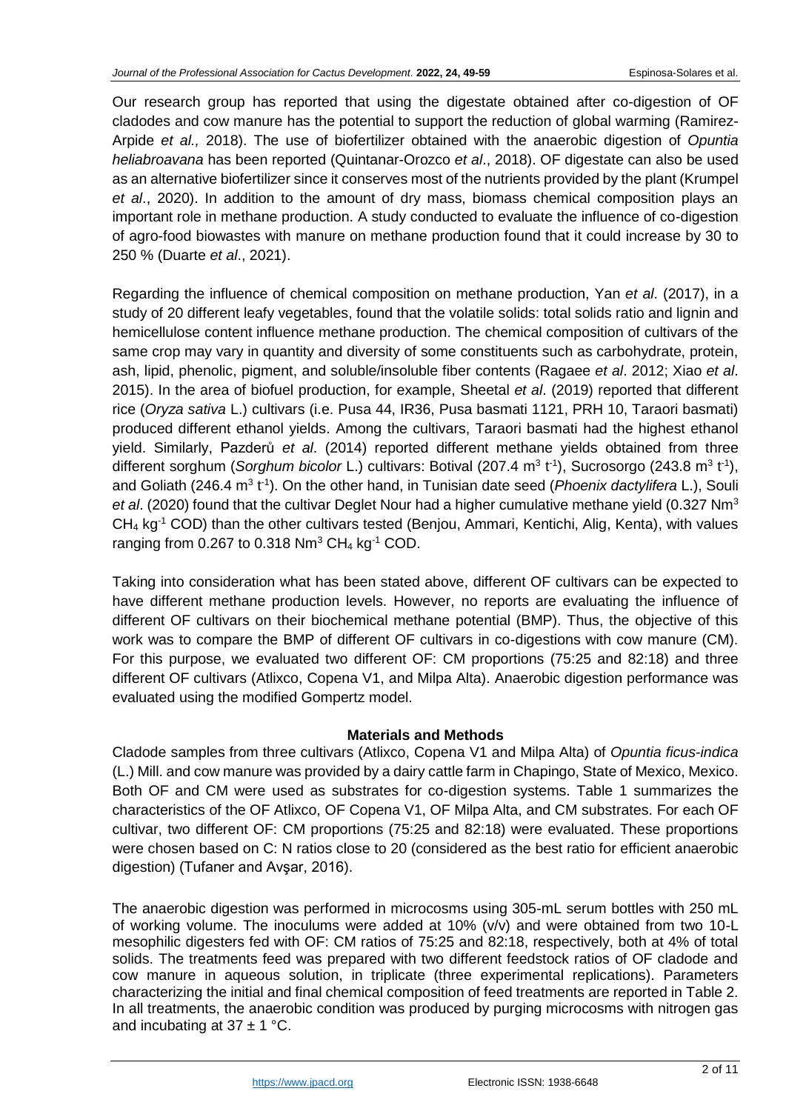Our research group has reported that using the digestate obtained after co-digestion of OF cladodes and cow manure has the potential to support the reduction of global warming (Ramirez-Arpide *et al.,* 2018). The use of biofertilizer obtained with the anaerobic digestion of *Opuntia heliabroavana* has been reported (Quintanar-Orozco *et al*., 2018). OF digestate can also be used as an alternative biofertilizer since it conserves most of the nutrients provided by the plant (Krumpel *et al*., 2020). In addition to the amount of dry mass, biomass chemical composition plays an important role in methane production. A study conducted to evaluate the influence of co-digestion of agro-food biowastes with manure on methane production found that it could increase by 30 to 250 % (Duarte *et al*., 2021).

Regarding the influence of chemical composition on methane production, Yan *et al*. (2017), in a study of 20 different leafy vegetables, found that the volatile solids: total solids ratio and lignin and hemicellulose content influence methane production. The chemical composition of cultivars of the same crop may vary in quantity and diversity of some constituents such as carbohydrate, protein, ash, lipid, phenolic, pigment, and soluble/insoluble fiber contents (Ragaee *et al*. 2012; Xiao *et al*. 2015). In the area of biofuel production, for example, Sheetal *et al*. (2019) reported that different rice (*Oryza sativa* L.) cultivars (i.e. Pusa 44, IR36, Pusa basmati 1121, PRH 10, Taraori basmati) produced different ethanol yields. Among the cultivars, Taraori basmati had the highest ethanol yield. Similarly, Pazderů *et al*. (2014) reported different methane yields obtained from three different sorghum (Sorghum bicolor L.) cultivars: Botival (207.4 m<sup>3</sup> t<sup>-1</sup>), Sucrosorgo (243.8 m<sup>3</sup> t<sup>-1</sup>), and Goliath (246.4 m<sup>3</sup> t<sup>-1</sup>). On the other hand, in Tunisian date seed (*Phoenix dactylifera* L.), Souli *et al*. (2020) found that the cultivar Deglet Nour had a higher cumulative methane yield (0.327 Nm<sup>3</sup> CH<sub>4</sub> kg<sup>-1</sup> COD) than the other cultivars tested (Benjou, Ammari, Kentichi, Alig, Kenta), with values ranging from 0.267 to 0.318  $Nm^3$  CH<sub>4</sub> kg<sup>-1</sup> COD.

Taking into consideration what has been stated above, different OF cultivars can be expected to have different methane production levels. However, no reports are evaluating the influence of different OF cultivars on their biochemical methane potential (BMP). Thus, the objective of this work was to compare the BMP of different OF cultivars in co-digestions with cow manure (CM). For this purpose, we evaluated two different OF: CM proportions (75:25 and 82:18) and three different OF cultivars (Atlixco, Copena V1, and Milpa Alta). Anaerobic digestion performance was evaluated using the modified Gompertz model.

# **Materials and Methods**

Cladode samples from three cultivars (Atlixco, Copena V1 and Milpa Alta) of *Opuntia ficus-indica* (L.) Mill. and cow manure was provided by a dairy cattle farm in Chapingo, State of Mexico, Mexico. Both OF and CM were used as substrates for co-digestion systems. Table 1 summarizes the characteristics of the OF Atlixco, OF Copena V1, OF Milpa Alta, and CM substrates. For each OF cultivar, two different OF: CM proportions (75:25 and 82:18) were evaluated. These proportions were chosen based on C: N ratios close to 20 (considered as the best ratio for efficient anaerobic digestion) (Tufaner and Avşar, 2016).

The anaerobic digestion was performed in microcosms using 305-mL serum bottles with 250 mL of working volume. The inoculums were added at 10% (v/v) and were obtained from two 10-L mesophilic digesters fed with OF: CM ratios of 75:25 and 82:18, respectively, both at 4% of total solids. The treatments feed was prepared with two different feedstock ratios of OF cladode and cow manure in aqueous solution, in triplicate (three experimental replications). Parameters characterizing the initial and final chemical composition of feed treatments are reported in Table 2. In all treatments, the anaerobic condition was produced by purging microcosms with nitrogen gas and incubating at  $37 \pm 1$  °C.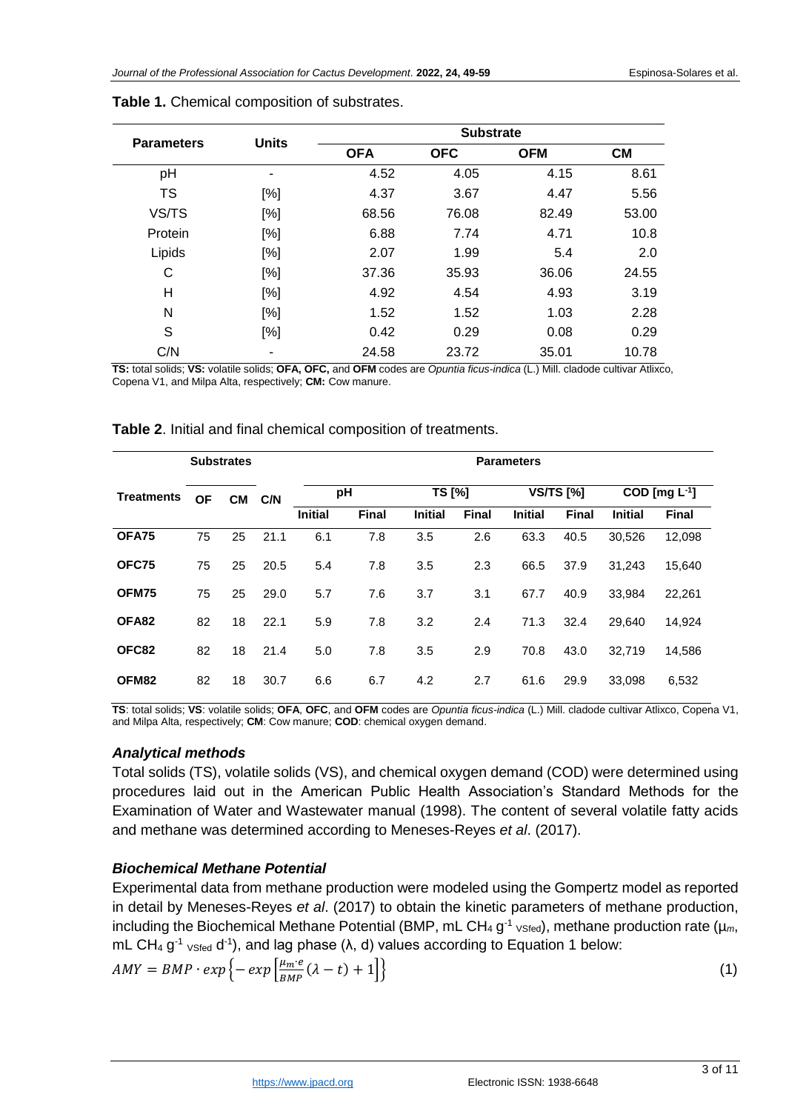| <b>Parameters</b> | <b>Units</b> | <b>Substrate</b> |            |            |           |  |  |
|-------------------|--------------|------------------|------------|------------|-----------|--|--|
|                   |              | <b>OFA</b>       | <b>OFC</b> | <b>OFM</b> | <b>CM</b> |  |  |
| pH                | ۰            | 4.52             | 4.05       | 4.15       | 8.61      |  |  |
| <b>TS</b>         | [%]          | 4.37             | 3.67       | 4.47       | 5.56      |  |  |
| VS/TS             | [%]          | 68.56            | 76.08      | 82.49      | 53.00     |  |  |
| Protein           | [%]          | 6.88             | 7.74       | 4.71       | 10.8      |  |  |
| Lipids            | [%]          | 2.07             | 1.99       | 5.4        | 2.0       |  |  |
| C                 | [%]          | 37.36            | 35.93      | 36.06      | 24.55     |  |  |
| H                 | [%]          | 4.92             | 4.54       | 4.93       | 3.19      |  |  |
| N                 | [%]          | 1.52             | 1.52       | 1.03       | 2.28      |  |  |
| S                 | [%]          | 0.42             | 0.29       | 0.08       | 0.29      |  |  |
| C/N               |              | 24.58            | 23.72      | 35.01      | 10.78     |  |  |

#### **Table 1.** Chemical composition of substrates.

**TS:** total solids; **VS:** volatile solids; **OFA, OFC,** and **OFM** codes are *Opuntia ficus-indica* (L.) Mill. cladode cultivar Atlixco, Copena V1, and Milpa Alta, respectively; **CM:** Cow manure.

| <b>Substrates</b> |           |           |      | <b>Parameters</b> |              |                |              |                |              |                                 |              |
|-------------------|-----------|-----------|------|-------------------|--------------|----------------|--------------|----------------|--------------|---------------------------------|--------------|
| <b>Treatments</b> | <b>OF</b> | <b>CM</b> | C/N  | pH                |              | TS [%]         |              | $VSTS$ [%]     |              | $\overline{COD}$ [mg $L^{-1}$ ] |              |
|                   |           |           |      | <b>Initial</b>    | <b>Final</b> | <b>Initial</b> | <b>Final</b> | <b>Initial</b> | <b>Final</b> | <b>Initial</b>                  | <b>Final</b> |
| OFA75             | 75        | 25        | 21.1 | 6.1               | 7.8          | 3.5            | 2.6          | 63.3           | 40.5         | 30,526                          | 12,098       |
| OFC75             | 75        | 25        | 20.5 | 5.4               | 7.8          | 3.5            | 2.3          | 66.5           | 37.9         | 31,243                          | 15,640       |
| OFM75             | 75        | 25        | 29.0 | 5.7               | 7.6          | 3.7            | 3.1          | 67.7           | 40.9         | 33,984                          | 22,261       |
| OFA82             | 82        | 18        | 22.1 | 5.9               | 7.8          | 3.2            | 2.4          | 71.3           | 32.4         | 29,640                          | 14,924       |
| OFC82             | 82        | 18        | 21.4 | 5.0               | 7.8          | 3.5            | 2.9          | 70.8           | 43.0         | 32,719                          | 14,586       |
| OFM82             | 82        | 18        | 30.7 | 6.6               | 6.7          | 4.2            | 2.7          | 61.6           | 29.9         | 33,098                          | 6,532        |

#### **Table 2**. Initial and final chemical composition of treatments.

**TS**: total solids; **VS**: volatile solids; **OFA**, **OFC**, and **OFM** codes are *Opuntia ficus-indica* (L.) Mill. cladode cultivar Atlixco, Copena V1, and Milpa Alta, respectively; **CM**: Cow manure; **COD**: chemical oxygen demand.

### *Analytical methods*

Total solids (TS), volatile solids (VS), and chemical oxygen demand (COD) were determined using procedures laid out in the American Public Health Association's Standard Methods for the Examination of Water and Wastewater manual (1998). The content of several volatile fatty acids and methane was determined according to Meneses-Reyes *et al*. (2017).

# *Biochemical Methane Potential*

Experimental data from methane production were modeled using the Gompertz model as reported in detail by Meneses-Reyes *et al*. (2017) to obtain the kinetic parameters of methane production, including the Biochemical Methane Potential (BMP, mL CH<sub>4</sub> g<sup>-1</sup> <sub>VSfed</sub>), methane production rate ( $\mu_m$ , mL CH<sub>4</sub> g<sup>-1</sup> <sub>VSfed</sub> d<sup>-1</sup>), and lag phase (λ, d) values according to Equation 1 below:

$$
AMY = BMP \cdot exp\left\{-\exp\left[\frac{\mu_m \cdot e}{BMP}(\lambda - t) + 1\right]\right\}
$$
\n(1)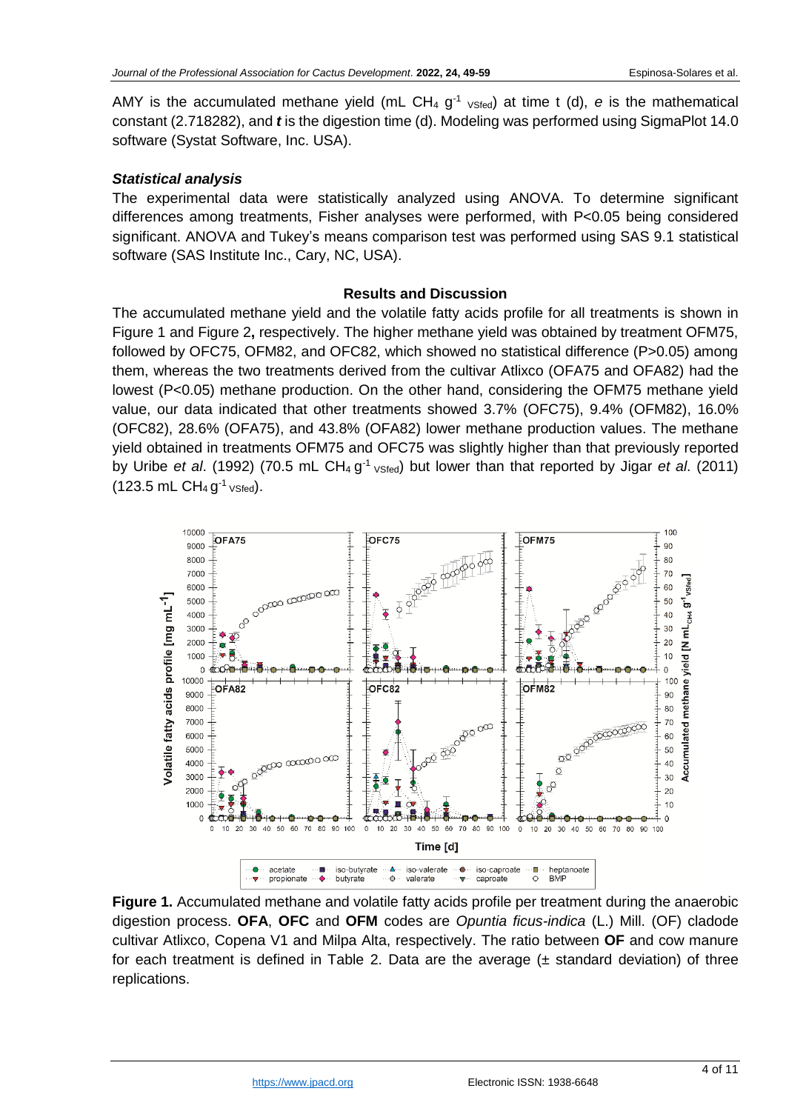AMY is the accumulated methane yield (mL CH<sub>4</sub>  $g^{-1}$  <sub>VSfed</sub>) at time t (d), e is the mathematical constant (2.718282), and *t* is the digestion time (d). Modeling was performed using SigmaPlot 14.0 software (Systat Software, Inc. USA).

#### *Statistical analysis*

The experimental data were statistically analyzed using ANOVA. To determine significant differences among treatments, Fisher analyses were performed, with P<0.05 being considered significant. ANOVA and Tukey's means comparison test was performed using SAS 9.1 statistical software (SAS Institute Inc., Cary, NC, USA).

#### **Results and Discussion**

The accumulated methane yield and the volatile fatty acids profile for all treatments is shown in Figure 1 and Figure 2**,** respectively. The higher methane yield was obtained by treatment OFM75, followed by OFC75, OFM82, and OFC82, which showed no statistical difference (P>0.05) among them, whereas the two treatments derived from the cultivar Atlixco (OFA75 and OFA82) had the lowest (P<0.05) methane production. On the other hand, considering the OFM75 methane yield value, our data indicated that other treatments showed 3.7% (OFC75), 9.4% (OFM82), 16.0% (OFC82), 28.6% (OFA75), and 43.8% (OFA82) lower methane production values. The methane yield obtained in treatments OFM75 and OFC75 was slightly higher than that previously reported by Uribe *et al.* (1992) (70.5 mL CH<sub>4</sub> g<sup>-1</sup> vsted) but lower than that reported by Jigar *et al.* (2011)  $(123.5 \text{ mL } CH_4 \text{ g}^{-1} \text{ vSted}).$ 



**Figure 1.** Accumulated methane and volatile fatty acids profile per treatment during the anaerobic digestion process. **OFA**, **OFC** and **OFM** codes are *Opuntia ficus-indica* (L.) Mill. (OF) cladode cultivar Atlixco, Copena V1 and Milpa Alta, respectively. The ratio between **OF** and cow manure for each treatment is defined in Table 2. Data are the average  $(±$  standard deviation) of three replications.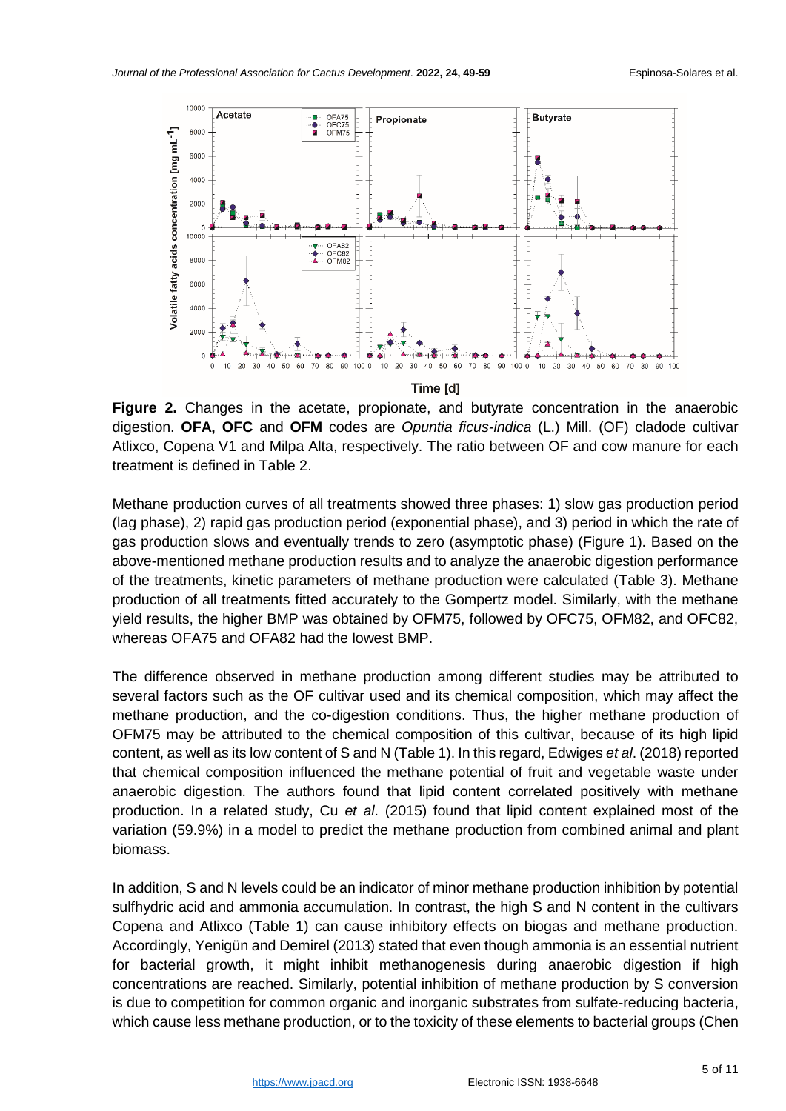

**Figure 2.** Changes in the acetate, propionate, and butyrate concentration in the anaerobic digestion. **OFA, OFC** and **OFM** codes are *Opuntia ficus-indica* (L.) Mill. (OF) cladode cultivar Atlixco, Copena V1 and Milpa Alta, respectively. The ratio between OF and cow manure for each treatment is defined in Table 2.

Methane production curves of all treatments showed three phases: 1) slow gas production period (lag phase), 2) rapid gas production period (exponential phase), and 3) period in which the rate of gas production slows and eventually trends to zero (asymptotic phase) (Figure 1). Based on the above-mentioned methane production results and to analyze the anaerobic digestion performance of the treatments, kinetic parameters of methane production were calculated (Table 3). Methane production of all treatments fitted accurately to the Gompertz model. Similarly, with the methane yield results, the higher BMP was obtained by OFM75, followed by OFC75, OFM82, and OFC82, whereas OFA75 and OFA82 had the lowest BMP.

The difference observed in methane production among different studies may be attributed to several factors such as the OF cultivar used and its chemical composition, which may affect the methane production, and the co-digestion conditions. Thus, the higher methane production of OFM75 may be attributed to the chemical composition of this cultivar, because of its high lipid content, as well as its low content of S and N (Table 1). In this regard, Edwiges *et al*. (2018) reported that chemical composition influenced the methane potential of fruit and vegetable waste under anaerobic digestion. The authors found that lipid content correlated positively with methane production. In a related study, Cu *et al*. (2015) found that lipid content explained most of the variation (59.9%) in a model to predict the methane production from combined animal and plant biomass.

In addition, S and N levels could be an indicator of minor methane production inhibition by potential sulfhydric acid and ammonia accumulation. In contrast, the high S and N content in the cultivars Copena and Atlixco (Table 1) can cause inhibitory effects on biogas and methane production. Accordingly, Yenigün and Demirel (2013) stated that even though ammonia is an essential nutrient for bacterial growth, it might inhibit methanogenesis during anaerobic digestion if high concentrations are reached. Similarly, potential inhibition of methane production by S conversion is due to competition for common organic and inorganic substrates from sulfate-reducing bacteria, which cause less methane production, or to the toxicity of these elements to bacterial groups (Chen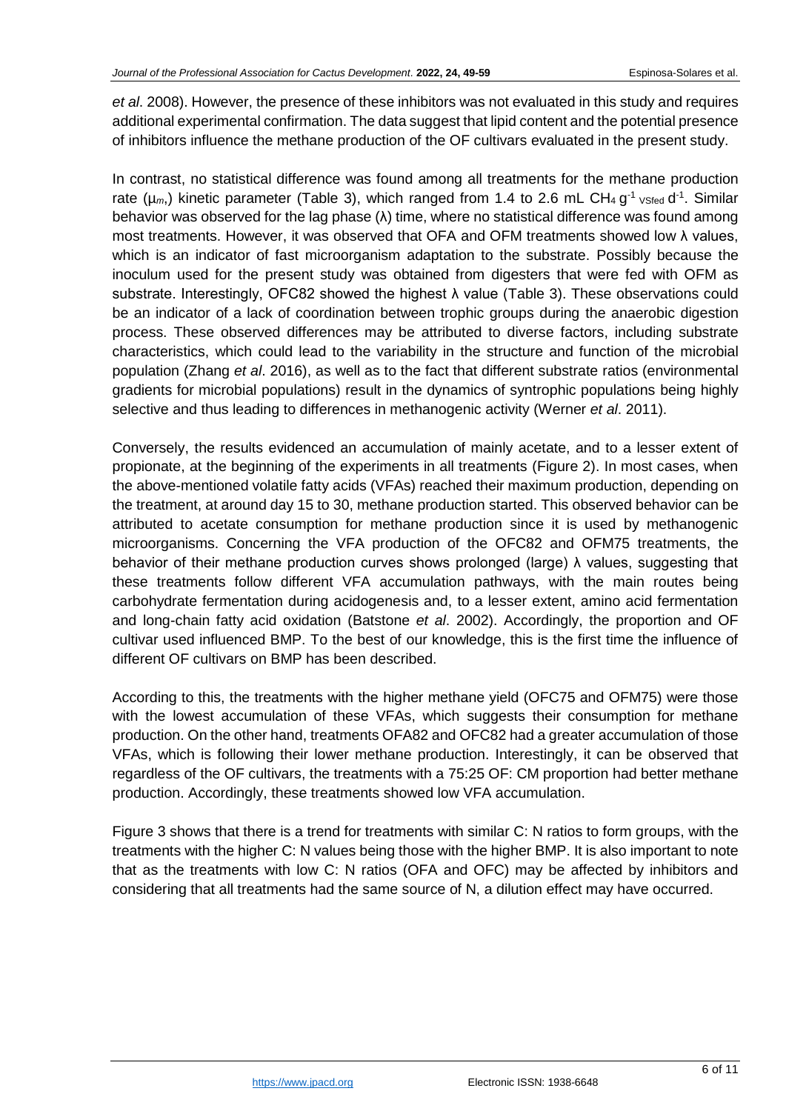*et al*. 2008). However, the presence of these inhibitors was not evaluated in this study and requires additional experimental confirmation. The data suggest that lipid content and the potential presence of inhibitors influence the methane production of the OF cultivars evaluated in the present study.

In contrast, no statistical difference was found among all treatments for the methane production rate ( $\mu_m$ ,) kinetic parameter (Table 3), which ranged from 1.4 to 2.6 mL CH<sub>4</sub> g<sup>-1</sup> <sub>VSfed</sub> d<sup>-1</sup>. Similar behavior was observed for the lag phase (λ) time, where no statistical difference was found among most treatments. However, it was observed that OFA and OFM treatments showed low λ values, which is an indicator of fast microorganism adaptation to the substrate. Possibly because the inoculum used for the present study was obtained from digesters that were fed with OFM as substrate. Interestingly, OFC82 showed the highest  $\lambda$  value (Table 3). These observations could be an indicator of a lack of coordination between trophic groups during the anaerobic digestion process. These observed differences may be attributed to diverse factors, including substrate characteristics, which could lead to the variability in the structure and function of the microbial population (Zhang *et al*. 2016), as well as to the fact that different substrate ratios (environmental gradients for microbial populations) result in the dynamics of syntrophic populations being highly selective and thus leading to differences in methanogenic activity (Werner *et al*. 2011).

Conversely, the results evidenced an accumulation of mainly acetate, and to a lesser extent of propionate, at the beginning of the experiments in all treatments (Figure 2). In most cases, when the above-mentioned volatile fatty acids (VFAs) reached their maximum production, depending on the treatment, at around day 15 to 30, methane production started. This observed behavior can be attributed to acetate consumption for methane production since it is used by methanogenic microorganisms. Concerning the VFA production of the OFC82 and OFM75 treatments, the behavior of their methane production curves shows prolonged (large) λ values, suggesting that these treatments follow different VFA accumulation pathways, with the main routes being carbohydrate fermentation during acidogenesis and, to a lesser extent, amino acid fermentation and long-chain fatty acid oxidation (Batstone *et al*. 2002). Accordingly, the proportion and OF cultivar used influenced BMP. To the best of our knowledge, this is the first time the influence of different OF cultivars on BMP has been described.

According to this, the treatments with the higher methane yield (OFC75 and OFM75) were those with the lowest accumulation of these VFAs, which suggests their consumption for methane production. On the other hand, treatments OFA82 and OFC82 had a greater accumulation of those VFAs, which is following their lower methane production. Interestingly, it can be observed that regardless of the OF cultivars, the treatments with a 75:25 OF: CM proportion had better methane production. Accordingly, these treatments showed low VFA accumulation.

Figure 3 shows that there is a trend for treatments with similar C: N ratios to form groups, with the treatments with the higher C: N values being those with the higher BMP. It is also important to note that as the treatments with low C: N ratios (OFA and OFC) may be affected by inhibitors and considering that all treatments had the same source of N, a dilution effect may have occurred.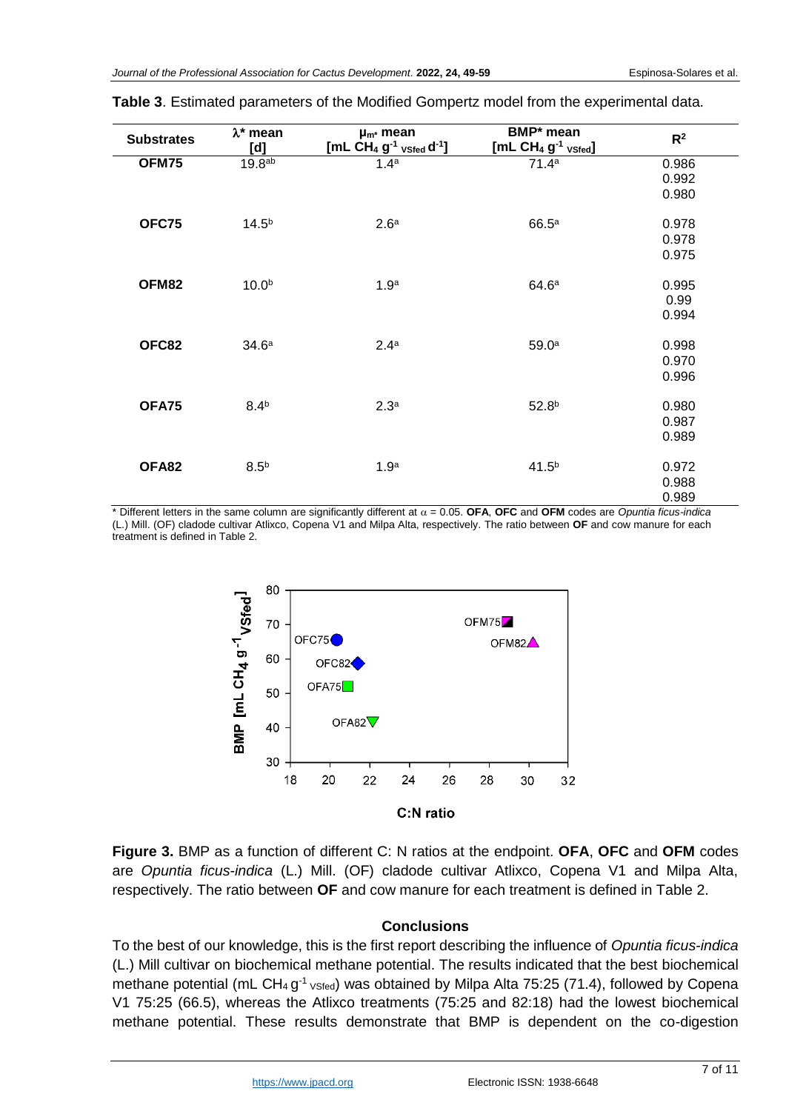| <b>Substrates</b> | $\lambda^*$ mean<br>[d] | $\mu_{m^*}$ mean<br>[ $mL CH4 g-1$ vsted $d-1$ ] | BMP* mean<br>$[ML CH4 g-1 vSted]$ | R <sup>2</sup> |
|-------------------|-------------------------|--------------------------------------------------|-----------------------------------|----------------|
| OFM75             | 19.8 <sup>ab</sup>      | 1.4 <sup>a</sup>                                 | 71.4 <sup>a</sup>                 | 0.986          |
|                   |                         |                                                  |                                   | 0.992          |
|                   |                         |                                                  |                                   | 0.980          |
|                   |                         |                                                  |                                   |                |
| OFC75             | $14.5^{b}$              | 2.6 <sup>a</sup>                                 | 66.5 <sup>a</sup>                 | 0.978          |
|                   |                         |                                                  |                                   | 0.978          |
|                   |                         |                                                  |                                   | 0.975          |
|                   |                         |                                                  |                                   |                |
| OFM82             | 10.0 <sup>b</sup>       | 1.9 <sup>a</sup>                                 | 64.6 <sup>a</sup>                 | 0.995          |
|                   |                         |                                                  |                                   | 0.99           |
|                   |                         |                                                  |                                   | 0.994          |
|                   | 34.6 <sup>a</sup>       | 2.4 <sup>a</sup>                                 |                                   |                |
| OFC82             |                         |                                                  | 59.0 <sup>a</sup>                 | 0.998          |
|                   |                         |                                                  |                                   | 0.970          |
|                   |                         |                                                  |                                   | 0.996          |
| OFA75             | 8.4 <sup>b</sup>        | 2.3 <sup>a</sup>                                 | 52.8 <sup>b</sup>                 | 0.980          |
|                   |                         |                                                  |                                   | 0.987          |
|                   |                         |                                                  |                                   | 0.989          |
|                   |                         |                                                  |                                   |                |
| OFA82             | 8.5 <sup>b</sup>        | 1.9 <sup>a</sup>                                 | $41.5^{b}$                        | 0.972          |
|                   |                         |                                                  |                                   | 0.988          |
|                   |                         |                                                  |                                   | 0.989          |

### **Table 3**. Estimated parameters of the Modified Gompertz model from the experimental data.

 $*$  Different letters in the same column are significantly different at  $\alpha$  = 0.05. **OFA**, **OFC** and **OFM** codes are *Opuntia ficus-indica* (L.) Mill. (OF) cladode cultivar Atlixco, Copena V1 and Milpa Alta, respectively. The ratio between **OF** and cow manure for each treatment is defined in Table 2.



**Figure 3.** BMP as a function of different C: N ratios at the endpoint. **OFA**, **OFC** and **OFM** codes are *Opuntia ficus-indica* (L.) Mill. (OF) cladode cultivar Atlixco, Copena V1 and Milpa Alta, respectively. The ratio between **OF** and cow manure for each treatment is defined in Table 2.

### **Conclusions**

To the best of our knowledge, this is the first report describing the influence of *Opuntia ficus-indica* (L.) Mill cultivar on biochemical methane potential. The results indicated that the best biochemical methane potential (mL CH<sub>4</sub> g<sup>-1</sup> <sub>VSfed</sub>) was obtained by Milpa Alta 75:25 (71.4), followed by Copena V1 75:25 (66.5), whereas the Atlixco treatments (75:25 and 82:18) had the lowest biochemical methane potential. These results demonstrate that BMP is dependent on the co-digestion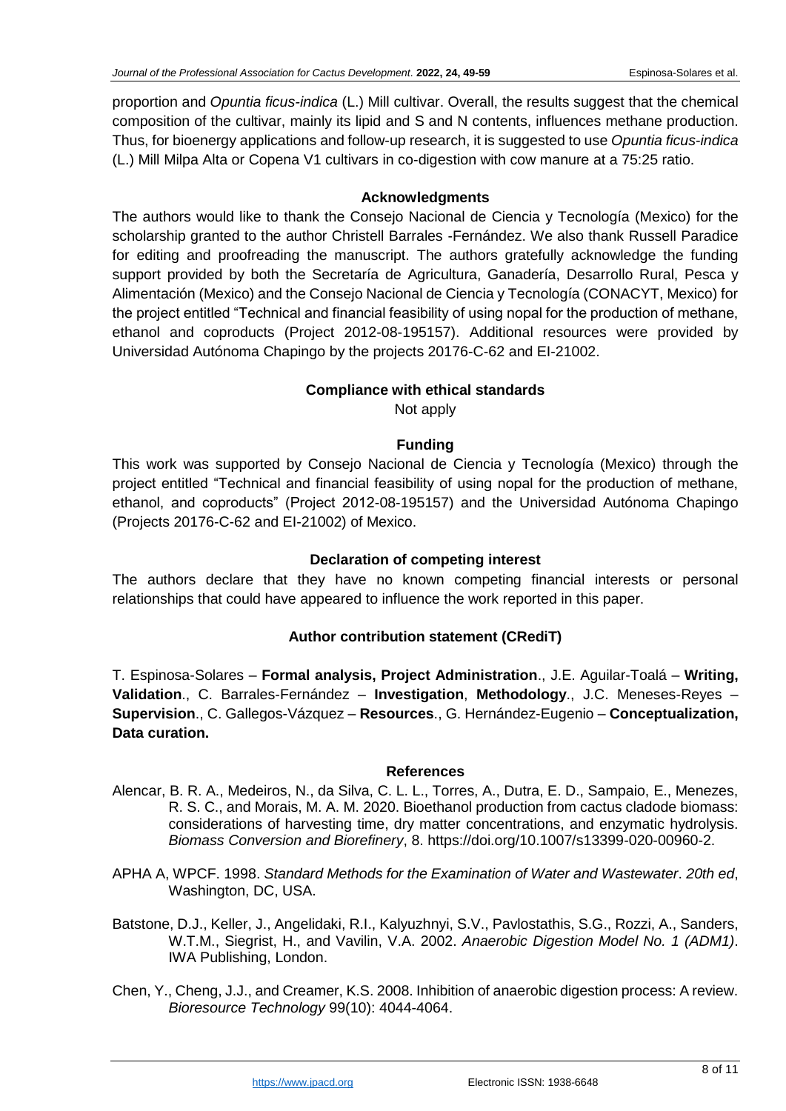proportion and *Opuntia ficus-indica* (L.) Mill cultivar. Overall, the results suggest that the chemical composition of the cultivar, mainly its lipid and S and N contents, influences methane production. Thus, for bioenergy applications and follow-up research, it is suggested to use *Opuntia ficus-indica* (L.) Mill Milpa Alta or Copena V1 cultivars in co-digestion with cow manure at a 75:25 ratio.

## **Acknowledgments**

The authors would like to thank the Consejo Nacional de Ciencia y Tecnología (Mexico) for the scholarship granted to the author Christell Barrales -Fernández. We also thank Russell Paradice for editing and proofreading the manuscript. The authors gratefully acknowledge the funding support provided by both the Secretaría de Agricultura, Ganadería, Desarrollo Rural, Pesca y Alimentación (Mexico) and the Consejo Nacional de Ciencia y Tecnología (CONACYT, Mexico) for the project entitled "Technical and financial feasibility of using nopal for the production of methane, ethanol and coproducts (Project 2012-08-195157). Additional resources were provided by Universidad Autónoma Chapingo by the projects 20176-C-62 and EI-21002.

## **Compliance with ethical standards**

Not apply

## **Funding**

This work was supported by Consejo Nacional de Ciencia y Tecnología (Mexico) through the project entitled "Technical and financial feasibility of using nopal for the production of methane, ethanol, and coproducts" (Project 2012-08-195157) and the Universidad Autónoma Chapingo (Projects 20176-C-62 and EI-21002) of Mexico.

## **Declaration of competing interest**

The authors declare that they have no known competing financial interests or personal relationships that could have appeared to influence the work reported in this paper.

# **Author contribution statement (CRediT)**

T. Espinosa-Solares – **Formal analysis, Project Administration**., J.E. Aguilar-Toalá – **Writing, Validation**., C. Barrales-Fernández – **Investigation**, **Methodology**., J.C. Meneses-Reyes – **Supervision**., C. Gallegos-Vázquez – **Resources**., G. Hernández-Eugenio – **Conceptualization, Data curation.**

### **References**

- Alencar, B. R. A., Medeiros, N., da Silva, C. L. L., Torres, A., Dutra, E. D., Sampaio, E., Menezes, R. S. C., and Morais, M. A. M. 2020. Bioethanol production from cactus cladode biomass: considerations of harvesting time, dry matter concentrations, and enzymatic hydrolysis. *Biomass Conversion and Biorefinery*, 8. https://doi.org/10.1007/s13399-020-00960-2.
- APHA A, WPCF. 1998. *Standard Methods for the Examination of Water and Wastewater*. *20th ed*, Washington, DC, USA.
- Batstone, D.J., Keller, J., Angelidaki, R.I., Kalyuzhnyi, S.V., Pavlostathis, S.G., Rozzi, A., Sanders, W.T.M., Siegrist, H., and Vavilin, V.A. 2002. *Anaerobic Digestion Model No. 1 (ADM1)*. IWA Publishing, London.
- Chen, Y., Cheng, J.J., and Creamer, K.S. 2008. Inhibition of anaerobic digestion process: A review. *Bioresource Technology* 99(10): 4044-4064.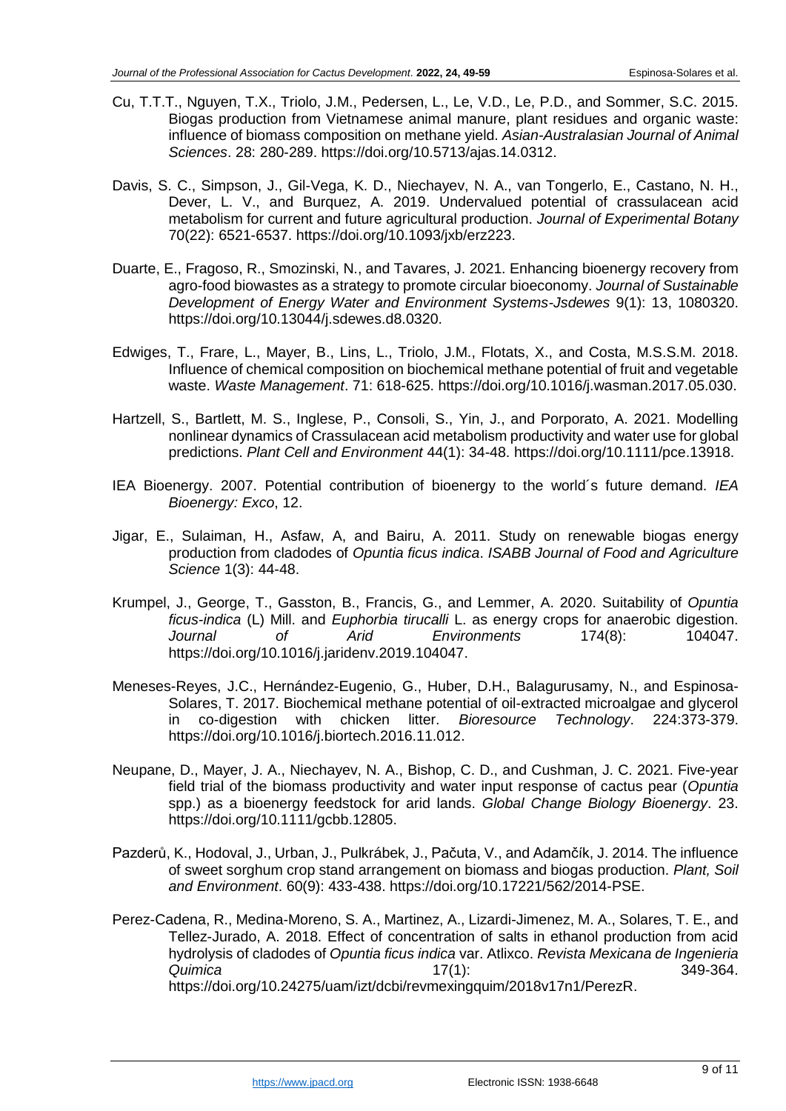- Cu, T.T.T., Nguyen, T.X., Triolo, J.M., Pedersen, L., Le, V.D., Le, P.D., and Sommer, S.C. 2015. Biogas production from Vietnamese animal manure, plant residues and organic waste: influence of biomass composition on methane yield. *Asian-Australasian Journal of Animal Sciences*. 28: 280-289. https://doi.org/10.5713/ajas.14.0312.
- Davis, S. C., Simpson, J., Gil-Vega, K. D., Niechayev, N. A., van Tongerlo, E., Castano, N. H., Dever, L. V., and Burquez, A. 2019. Undervalued potential of crassulacean acid metabolism for current and future agricultural production. *Journal of Experimental Botany* 70(22): 6521-6537. https://doi.org/10.1093/jxb/erz223.
- Duarte, E., Fragoso, R., Smozinski, N., and Tavares, J. 2021. Enhancing bioenergy recovery from agro-food biowastes as a strategy to promote circular bioeconomy. *Journal of Sustainable Development of Energy Water and Environment Systems-Jsdewes* 9(1): 13, 1080320. https://doi.org/10.13044/j.sdewes.d8.0320.
- Edwiges, T., Frare, L., Mayer, B., Lins, L., Triolo, J.M., Flotats, X., and Costa, M.S.S.M. 2018. Influence of chemical composition on biochemical methane potential of fruit and vegetable waste. *Waste Management*. 71: 618-625. https://doi.org/10.1016/j.wasman.2017.05.030.
- Hartzell, S., Bartlett, M. S., Inglese, P., Consoli, S., Yin, J., and Porporato, A. 2021. Modelling nonlinear dynamics of Crassulacean acid metabolism productivity and water use for global predictions. *Plant Cell and Environment* 44(1): 34-48. https://doi.org/10.1111/pce.13918.
- IEA Bioenergy. 2007. Potential contribution of bioenergy to the world´s future demand. *IEA Bioenergy: Exco*, 12.
- Jigar, E., Sulaiman, H., Asfaw, A, and Bairu, A. 2011. Study on renewable biogas energy production from cladodes of *Opuntia ficus indica*. *ISABB Journal of Food and Agriculture Science* 1(3): 44-48.
- Krumpel, J., George, T., Gasston, B., Francis, G., and Lemmer, A. 2020. Suitability of *Opuntia ficus-indica* (L) Mill. and *Euphorbia tirucalli* L. as energy crops for anaerobic digestion. *Journal of Arid Environments* 174(8): 104047. https://doi.org/10.1016/j.jaridenv.2019.104047.
- Meneses-Reyes, J.C., Hernández-Eugenio, G., Huber, D.H., Balagurusamy, N., and Espinosa-Solares, T. 2017. Biochemical methane potential of oil-extracted microalgae and glycerol in co-digestion with chicken litter. *Bioresource Technology*. 224:373-379. https://doi.org/10.1016/j.biortech.2016.11.012.
- Neupane, D., Mayer, J. A., Niechayev, N. A., Bishop, C. D., and Cushman, J. C. 2021. Five-year field trial of the biomass productivity and water input response of cactus pear (*Opuntia* spp.) as a bioenergy feedstock for arid lands. *Global Change Biology Bioenergy*. 23. https://doi.org/10.1111/gcbb.12805.
- Pazderů, K., Hodoval, J., Urban, J., Pulkrábek, J., Pačuta, V., and Adamčík, J. 2014. The influence of sweet sorghum crop stand arrangement on biomass and biogas production. *Plant, Soil and Environment*. 60(9): 433-438. https://doi.org/10.17221/562/2014-PSE.
- Perez-Cadena, R., Medina-Moreno, S. A., Martinez, A., Lizardi-Jimenez, M. A., Solares, T. E., and Tellez-Jurado, A. 2018. Effect of concentration of salts in ethanol production from acid hydrolysis of cladodes of *Opuntia ficus indica* var. Atlixco. *Revista Mexicana de Ingenieria Quimica* 17(1): 349-364. https://doi.org/10.24275/uam/izt/dcbi/revmexingquim/2018v17n1/PerezR.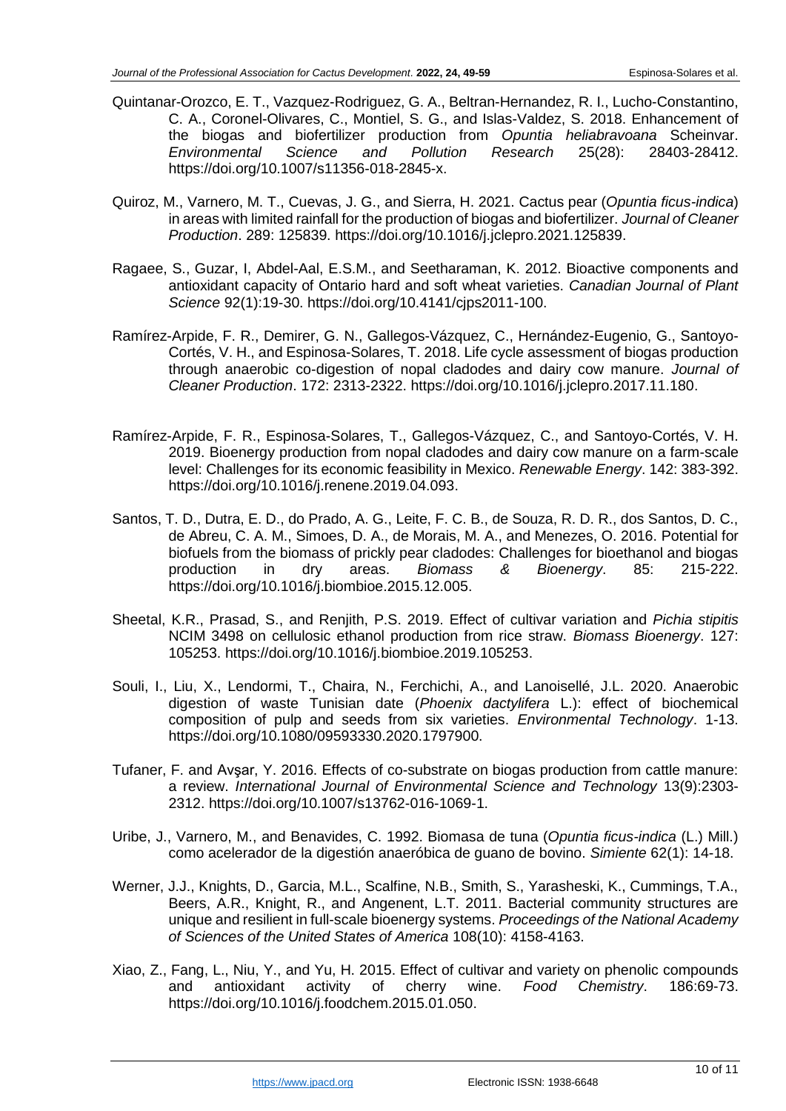- Quintanar-Orozco, E. T., Vazquez-Rodriguez, G. A., Beltran-Hernandez, R. I., Lucho-Constantino, C. A., Coronel-Olivares, C., Montiel, S. G., and Islas-Valdez, S. 2018. Enhancement of the biogas and biofertilizer production from *Opuntia heliabravoana* Scheinvar. *Environmental Science and Pollution Research* 25(28): 28403-28412. https://doi.org/10.1007/s11356-018-2845-x.
- Quiroz, M., Varnero, M. T., Cuevas, J. G., and Sierra, H. 2021. Cactus pear (*Opuntia ficus-indica*) in areas with limited rainfall for the production of biogas and biofertilizer. *Journal of Cleaner Production*. 289: 125839. https://doi.org/10.1016/j.jclepro.2021.125839.
- Ragaee, S., Guzar, I, Abdel-Aal, E.S.M., and Seetharaman, K. 2012. Bioactive components and antioxidant capacity of Ontario hard and soft wheat varieties. *Canadian Journal of Plant Science* 92(1):19-30. https://doi.org/10.4141/cjps2011-100.
- Ramírez-Arpide, F. R., Demirer, G. N., Gallegos-Vázquez, C., Hernández-Eugenio, G., Santoyo-Cortés, V. H., and Espinosa-Solares, T. 2018. Life cycle assessment of biogas production through anaerobic co-digestion of nopal cladodes and dairy cow manure. *Journal of Cleaner Production*. 172: 2313-2322. https://doi.org/10.1016/j.jclepro.2017.11.180.
- Ramírez-Arpide, F. R., Espinosa-Solares, T., Gallegos-Vázquez, C., and Santoyo-Cortés, V. H. 2019. Bioenergy production from nopal cladodes and dairy cow manure on a farm-scale level: Challenges for its economic feasibility in Mexico. *Renewable Energy*. 142: 383-392. https://doi.org/10.1016/j.renene.2019.04.093.
- Santos, T. D., Dutra, E. D., do Prado, A. G., Leite, F. C. B., de Souza, R. D. R., dos Santos, D. C., de Abreu, C. A. M., Simoes, D. A., de Morais, M. A., and Menezes, O. 2016. Potential for biofuels from the biomass of prickly pear cladodes: Challenges for bioethanol and biogas production in dry areas. *Biomass & Bioenergy*. 85: 215-222. https://doi.org/10.1016/j.biombioe.2015.12.005.
- Sheetal, K.R., Prasad, S., and Renjith, P.S. 2019. Effect of cultivar variation and *Pichia stipitis* NCIM 3498 on cellulosic ethanol production from rice straw. *Biomass Bioenergy*. 127: 105253. https://doi.org/10.1016/j.biombioe.2019.105253.
- Souli, I., Liu, X., Lendormi, T., Chaira, N., Ferchichi, A., and Lanoisellé, J.L. 2020. Anaerobic digestion of waste Tunisian date (*Phoenix dactylifera* L.): effect of biochemical composition of pulp and seeds from six varieties. *Environmental Technology*. 1-13. https://doi.org/10.1080/09593330.2020.1797900.
- Tufaner, F. and Avşar, Y. 2016. Effects of co-substrate on biogas production from cattle manure: a review. *International Journal of Environmental Science and Technology* 13(9):2303- 2312. https://doi.org/10.1007/s13762-016-1069-1.
- Uribe, J., Varnero, M., and Benavides, C. 1992. Biomasa de tuna (*Opuntia ficus-indica* (L.) Mill.) como acelerador de la digestión anaeróbica de guano de bovino. *Simiente* 62(1): 14-18.
- Werner, J.J., Knights, D., Garcia, M.L., Scalfine, N.B., Smith, S., Yarasheski, K., Cummings, T.A., Beers, A.R., Knight, R., and Angenent, L.T. 2011. Bacterial community structures are unique and resilient in full-scale bioenergy systems. *Proceedings of the National Academy of Sciences of the United States of America* 108(10): 4158-4163.
- Xiao, Z., Fang, L., Niu, Y., and Yu, H. 2015. Effect of cultivar and variety on phenolic compounds and antioxidant activity of cherry wine. *Food Chemistry*. 186:69-73. https://doi.org/10.1016/j.foodchem.2015.01.050.